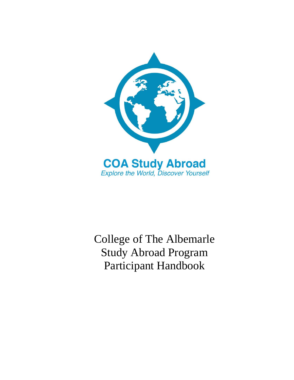

College of The Albemarle Study Abroad Program Participant Handbook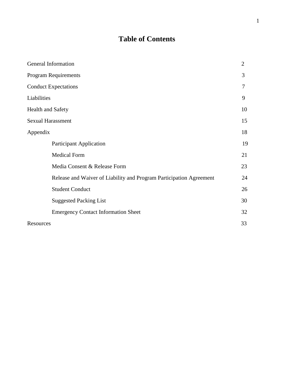# **Table of Contents**

| General Information                                                 | $\overline{2}$ |
|---------------------------------------------------------------------|----------------|
| <b>Program Requirements</b>                                         | 3              |
| <b>Conduct Expectations</b>                                         | 7              |
| Liabilities                                                         | 9              |
| <b>Health and Safety</b>                                            | 10             |
| <b>Sexual Harassment</b>                                            | 15             |
| Appendix                                                            | 18             |
| <b>Participant Application</b>                                      | 19             |
| <b>Medical Form</b>                                                 | 21             |
| Media Consent & Release Form                                        | 23             |
| Release and Waiver of Liability and Program Participation Agreement | 24             |
| <b>Student Conduct</b>                                              | 26             |
| <b>Suggested Packing List</b>                                       | 30             |
| <b>Emergency Contact Information Sheet</b>                          | 32             |
| Resources                                                           | 33             |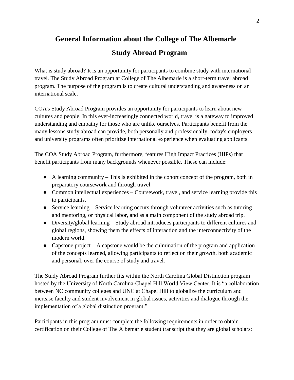# **General Information about the College of The Albemarle Study Abroad Program**

What is study abroad? It is an opportunity for participants to combine study with international travel. The Study Abroad Program at College of The Albemarle is a short-term travel abroad program. The purpose of the program is to create cultural understanding and awareness on an international scale.

COA's Study Abroad Program provides an opportunity for participants to learn about new cultures and people. In this ever-increasingly connected world, travel is a gateway to improved understanding and empathy for those who are unlike ourselves. Participants benefit from the many lessons study abroad can provide, both personally and professionally; today's employers and university programs often prioritize international experience when evaluating applicants.

The COA Study Abroad Program, furthermore, features High Impact Practices (HIPs) that benefit participants from many backgrounds whenever possible. These can include:

- $\bullet$  A learning community This is exhibited in the cohort concept of the program, both in preparatory coursework and through travel.
- Common intellectual experiences Coursework, travel, and service learning provide this to participants.
- Service learning Service learning occurs through volunteer activities such as tutoring and mentoring, or physical labor, and as a main component of the study abroad trip.
- Diversity/global learning Study abroad introduces participants to different cultures and global regions, showing them the effects of interaction and the interconnectivity of the modern world.
- Capstone project  $-$  A capstone would be the culmination of the program and application of the concepts learned, allowing participants to reflect on their growth, both academic and personal, over the course of study and travel.

The Study Abroad Program further fits within the North Carolina Global Distinction program hosted by the University of North Carolina-Chapel Hill World View Center. It is "a collaboration between NC community colleges and UNC at Chapel Hill to globalize the curriculum and increase faculty and student involvement in global issues, activities and dialogue through the implementation of a global distinction program."

Participants in this program must complete the following requirements in order to obtain certification on their College of The Albemarle student transcript that they are global scholars: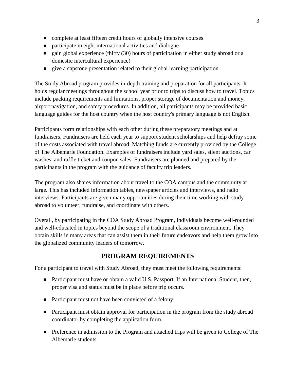- complete at least fifteen credit hours of globally intensive courses
- participate in eight international activities and dialogue
- gain global experience (thirty (30) hours of participation in either study abroad or a domestic intercultural experience)
- give a capstone presentation related to their global learning participation

The Study Abroad program provides in-depth training and preparation for all participants. It holds regular meetings throughout the school year prior to trips to discuss how to travel. Topics include packing requirements and limitations, proper storage of documentation and money, airport navigation, and safety procedures. In addition, all participants may be provided basic language guides for the host country when the host country's primary language is not English.

Participants form relationships with each other during these preparatory meetings and at fundraisers. Fundraisers are held each year to support student scholarships and help defray some of the costs associated with travel abroad. Matching funds are currently provided by the College of The Albemarle Foundation. Examples of fundraisers include yard sales, silent auctions, car washes, and raffle ticket and coupon sales. Fundraisers are planned and prepared by the participants in the program with the guidance of faculty trip leaders.

The program also shares information about travel to the COA campus and the community at large. This has included information tables, newspaper articles and interviews, and radio interviews. Participants are given many opportunities during their time working with study abroad to volunteer, fundraise, and coordinate with others.

Overall, by participating in the COA Study Abroad Program, individuals become well-rounded and well-educated in topics beyond the scope of a traditional classroom environment. They obtain skills in many areas that can assist them in their future endeavors and help them grow into the globalized community leaders of tomorrow.

# **PROGRAM REQUIREMENTS**

For a participant to travel with Study Abroad, they must meet the following requirements:

- Participant must have or obtain a valid U.S. Passport. If an International Student, then, proper visa and status must be in place before trip occurs.
- Participant must not have been convicted of a felony.
- Participant must obtain approval for participation in the program from the study abroad coordinator by completing the application form.
- Preference in admission to the Program and attached trips will be given to College of The Albemarle students.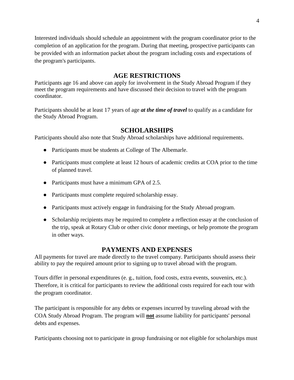Interested individuals should schedule an appointment with the program coordinator prior to the completion of an application for the program. During that meeting, prospective participants can be provided with an information packet about the program including costs and expectations of the program's participants.

# **AGE RESTRICTIONS**

Participants age 16 and above can apply for involvement in the Study Abroad Program if they meet the program requirements and have discussed their decision to travel with the program coordinator.

Participants should be at least 17 years of age *at the time of travel* to qualify as a candidate for the Study Abroad Program.

# **SCHOLARSHIPS**

Participants should also note that Study Abroad scholarships have additional requirements.

- Participants must be students at College of The Albemarle.
- Participants must complete at least 12 hours of academic credits at COA prior to the time of planned travel.
- Participants must have a minimum GPA of 2.5.
- Participants must complete required scholarship essay.
- Participants must actively engage in fundraising for the Study Abroad program.
- Scholarship recipients may be required to complete a reflection essay at the conclusion of the trip, speak at Rotary Club or other civic donor meetings, or help promote the program in other ways.

# **PAYMENTS AND EXPENSES**

All payments for travel are made directly to the travel company. Participants should assess their ability to pay the required amount prior to signing up to travel abroad with the program.

Tours differ in personal expenditures (e. g., tuition, food costs, extra events, souvenirs, etc.). Therefore, it is critical for participants to review the additional costs required for each tour with the program coordinator.

The participant is responsible for any debts or expenses incurred by traveling abroad with the COA Study Abroad Program. The program will **not** assume liability for participants' personal debts and expenses.

Participants choosing not to participate in group fundraising or not eligible for scholarships must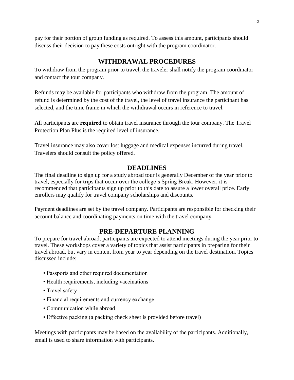pay for their portion of group funding as required. To assess this amount, participants should discuss their decision to pay these costs outright with the program coordinator.

# **WITHDRAWAL PROCEDURES**

To withdraw from the program prior to travel, the traveler shall notify the program coordinator and contact the tour company.

Refunds may be available for participants who withdraw from the program. The amount of refund is determined by the cost of the travel, the level of travel insurance the participant has selected, and the time frame in which the withdrawal occurs in reference to travel.

All participants are **required** to obtain travel insurance through the tour company. The Travel Protection Plan Plus is the required level of insurance.

Travel insurance may also cover lost luggage and medical expenses incurred during travel. Travelers should consult the policy offered.

# **DEADLINES**

The final deadline to sign up for a study abroad tour is generally December of the year prior to travel, especially for trips that occur over the college's Spring Break. However, it is recommended that participants sign up prior to this date to assure a lower overall price. Early enrollers may qualify for travel company scholarships and discounts.

Payment deadlines are set by the travel company. Participants are responsible for checking their account balance and coordinating payments on time with the travel company.

# **PRE-DEPARTURE PLANNING**

To prepare for travel abroad, participants are expected to attend meetings during the year prior to travel. These workshops cover a variety of topics that assist participants in preparing for their travel abroad, but vary in content from year to year depending on the travel destination. Topics discussed include:

- Passports and other required documentation
- Health requirements, including vaccinations
- Travel safety
- Financial requirements and currency exchange
- Communication while abroad
- Effective packing (a packing check sheet is provided before travel)

Meetings with participants may be based on the availability of the participants. Additionally, email is used to share information with participants.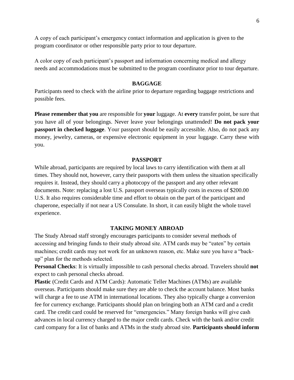A copy of each participant's emergency contact information and application is given to the program coordinator or other responsible party prior to tour departure.

A color copy of each participant's passport and information concerning medical and allergy needs and accommodations must be submitted to the program coordinator prior to tour departure.

#### **BAGGAGE**

Participants need to check with the airline prior to departure regarding baggage restrictions and possible fees.

**Please remember that you** are responsible for **your** luggage. At **every** transfer point, be sure that you have all of your belongings. Never leave your belongings unattended! **Do not pack your passport in checked luggage**. Your passport should be easily accessible. Also, do not pack any money, jewelry, cameras, or expensive electronic equipment in your luggage. Carry these with you.

#### **PASSPORT**

While abroad, participants are required by local laws to carry identification with them at all times. They should not, however, carry their passports with them unless the situation specifically requires it. Instead, they should carry a photocopy of the passport and any other relevant documents. Note: replacing a lost U.S. passport overseas typically costs in excess of \$200.00 U.S. It also requires considerable time and effort to obtain on the part of the participant and chaperone, especially if not near a US Consulate. In short, it can easily blight the whole travel experience.

#### **TAKING MONEY ABROAD**

The Study Abroad staff strongly encourages participants to consider several methods of accessing and bringing funds to their study abroad site. ATM cards may be "eaten" by certain machines; credit cards may not work for an unknown reason, etc. Make sure you have a "backup" plan for the methods selected.

**Personal Checks**: It is virtually impossible to cash personal checks abroad. Travelers should **not**  expect to cash personal checks abroad.

**Plastic** (Credit Cards and ATM Cards): Automatic Teller Machines (ATMs) are available overseas. Participants should make sure they are able to check the account balance. Most banks will charge a fee to use ATM in international locations. They also typically charge a conversion fee for currency exchange. Participants should plan on bringing both an ATM card and a credit card. The credit card could be reserved for "emergencies." Many foreign banks will give cash advances in local currency charged to the major credit cards. Check with the bank and/or credit card company for a list of banks and ATMs in the study abroad site. **Participants should inform**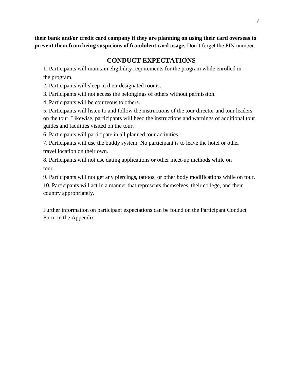**their bank and/or credit card company if they are planning on using their card overseas to prevent them from being suspicious of fraudulent card usage.** Don't forget the PIN number.

# **CONDUCT EXPECTATIONS**

1. Participants will maintain eligibility requirements for the program while enrolled in the program.

2. Participants will sleep in their designated rooms.

3. Participants will not access the belongings of others without permission.

4. Participants will be courteous to others.

5. Participants will listen to and follow the instructions of the tour director and tour leaders on the tour. Likewise, participants will heed the instructions and warnings of additional tour guides and facilities visited on the tour.

6. Participants will participate in all planned tour activities.

7. Participants will use the buddy system. No participant is to leave the hotel or other travel location on their own.

8. Participants will not use dating applications or other meet-up methods while on tour.

9. Participants will not get any piercings, tattoos, or other body modifications while on tour.

10. Participants will act in a manner that represents themselves, their college, and their country appropriately.

Further information on participant expectations can be found on the Participant Conduct Form in the Appendix.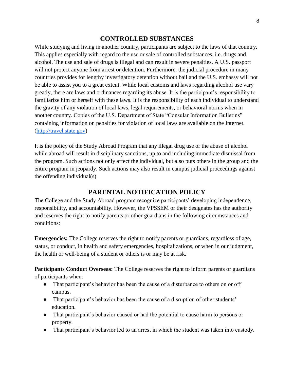#### **CONTROLLED SUBSTANCES**

While studying and living in another country, participants are subject to the laws of that country. This applies especially with regard to the use or sale of controlled substances, i.e. drugs and alcohol. The use and sale of drugs is illegal and can result in severe penalties. A U.S. passport will not protect anyone from arrest or detention. Furthermore, the judicial procedure in many countries provides for lengthy investigatory detention without bail and the U.S. embassy will not be able to assist you to a great extent. While local customs and laws regarding alcohol use vary greatly, there are laws and ordinances regarding its abuse. It is the participant's responsibility to familiarize him or herself with these laws. It is the responsibility of each individual to understand the gravity of any violation of local laws, legal requirements, or behavioral norms when in another country. Copies of the U.S. Department of State "Consular Information Bulletins" containing information on penalties for violation of local laws are available on the Internet. [\(http://travel.state.gov\)](http://travel.state.gov/)

It is the policy of the Study Abroad Program that any illegal drug use or the abuse of alcohol while abroad will result in disciplinary sanctions, up to and including immediate dismissal from the program. Such actions not only affect the individual, but also puts others in the group and the entire program in jeopardy. Such actions may also result in campus judicial proceedings against the offending individual(s).

# **PARENTAL NOTIFICATION POLICY**

The College and the Study Abroad program recognize participants' developing independence, responsibility, and accountability. However, the VPSSEM or their designates has the authority and reserves the right to notify parents or other guardians in the following circumstances and conditions:

**Emergencies:** The College reserves the right to notify parents or guardians, regardless of age, status, or conduct, in health and safety emergencies, hospitalizations, or when in our judgment, the health or well-being of a student or others is or may be at risk.

**Participants Conduct Overseas:** The College reserves the right to inform parents or guardians of participants when:

- That participant's behavior has been the cause of a disturbance to others on or off campus.
- That participant's behavior has been the cause of a disruption of other students' education.
- That participant's behavior caused or had the potential to cause harm to persons or property.
- That participant's behavior led to an arrest in which the student was taken into custody.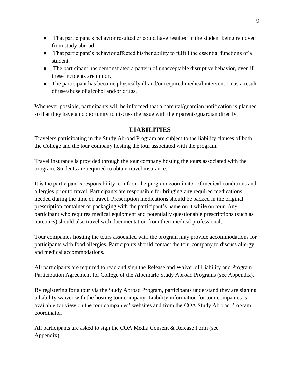- That participant's behavior resulted or could have resulted in the student being removed from study abroad.
- That participant's behavior affected his/her ability to fulfill the essential functions of a student.
- The participant has demonstrated a pattern of unacceptable disruptive behavior, even if these incidents are minor.
- The participant has become physically ill and/or required medical intervention as a result of use/abuse of alcohol and/or drugs.

Whenever possible, participants will be informed that a parental/guardian notification is planned so that they have an opportunity to discuss the issue with their parents/guardian directly.

# **LIABILITIES**

Travelers participating in the Study Abroad Program are subject to the liability clauses of both the College and the tour company hosting the tour associated with the program.

Travel insurance is provided through the tour company hosting the tours associated with the program. Students are required to obtain travel insurance.

It is the participant's responsibility to inform the program coordinator of medical conditions and allergies prior to travel. Participants are responsible for bringing any required medications needed during the time of travel. Prescription medications should be packed in the original prescription container or packaging with the participant's name on it while on tour. Any participant who requires medical equipment and potentially questionable prescriptions (such as narcotics) should also travel with documentation from their medical professional.

Tour companies hosting the tours associated with the program may provide accommodations for participants with food allergies. Participants should contact the tour company to discuss allergy and medical accommodations.

All participants are required to read and sign the Release and Waiver of Liability and Program Participation Agreement for College of the Albemarle Study Abroad Programs (see Appendix).

By registering for a tour via the Study Abroad Program, participants understand they are signing a liability waiver with the hosting tour company. Liability information for tour companies is available for view on the tour companies' websites and from the COA Study Abroad Program coordinator.

All participants are asked to sign the COA Media Consent & Release Form (see Appendix).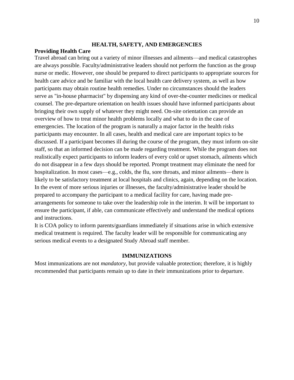#### **HEALTH, SAFETY, AND EMERGENCIES**

#### **Providing Health Care**

Travel abroad can bring out a variety of minor illnesses and ailments—and medical catastrophes are always possible. Faculty/administrative leaders should not perform the function as the group nurse or medic. However, one should be prepared to direct participants to appropriate sources for health care advice and be familiar with the local health care delivery system, as well as how participants may obtain routine health remedies. Under no circumstances should the leaders serve as "in-house pharmacist" by dispensing any kind of over-the-counter medicines or medical counsel. The pre-departure orientation on health issues should have informed participants about bringing their own supply of whatever they might need. On-site orientation can provide an overview of how to treat minor health problems locally and what to do in the case of emergencies. The location of the program is naturally a major factor in the health risks participants may encounter. In all cases, health and medical care are important topics to be discussed. If a participant becomes ill during the course of the program, they must inform on-site staff, so that an informed decision can be made regarding treatment. While the program does not realistically expect participants to inform leaders of every cold or upset stomach, ailments which do not disappear in a few days should be reported. Prompt treatment may eliminate the need for hospitalization. In most cases—e.g., colds, the flu, sore throats, and minor ailments—there is likely to be satisfactory treatment at local hospitals and clinics, again, depending on the location. In the event of more serious injuries or illnesses, the faculty/administrative leader should be prepared to accompany the participant to a medical facility for care, having made prearrangements for someone to take over the leadership role in the interim. It will be important to ensure the participant, if able, can communicate effectively and understand the medical options and instructions.

It is COA policy to inform parents/guardians immediately if situations arise in which extensive medical treatment is required. The faculty leader will be responsible for communicating any serious medical events to a designated Study Abroad staff member.

#### **IMMUNIZATIONS**

Most immunizations are not *mandatory*, but provide valuable protection; therefore, it is highly recommended that participants remain up to date in their immunizations prior to departure.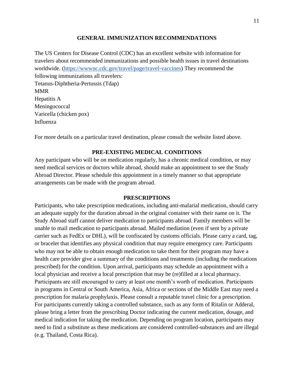#### **GENERAL IMMUNIZATION RECOMMENDATIONS**

The US Centers for Disease Control (CDC) has an excellent website with information for travelers about recommended immunizations and possible health issues in travel destinations worldwide. [\(https://wwwnc.cdc.gov/travel/page/travel-vaccines\)](https://wwwnc.cdc.gov/travel/page/travel-vaccines) They recommend the following immunizations all travelers: Tetanus-Diphtheria-Pertussis (Tdap) MMR Hepatitis A Meningococcal Varicella (chicken pox) Influenza

For more details on a particular travel destination, please consult the website listed above.

#### **PRE-EXISTING MEDICAL CONDITIONS**

Any participant who will be on medication regularly, has a chronic medical condition, or may need medical services or doctors while abroad, should make an appointment to see the Study Abroad Director. Please schedule this appointment in a timely manner so that appropriate arrangements can be made with the program abroad.

#### **PRESCRIPTIONS**

Participants, who take prescription medications, including anti-malarial medication, should carry an adequate supply for the duration abroad in the original container with their name on it. The Study Abroad staff cannot deliver medication to participants abroad. Family members will be unable to mail medication to participants abroad. Mailed mediation (even if sent by a private carrier such as FedEx or DHL), will be confiscated by customs officials. Please carry a card, tag, or bracelet that identifies any physical condition that may require emergency care. Participants who may not be able to obtain enough medication to take them for their program may have a health care provider give a summary of the conditions and treatments (including the medications prescribed) for the condition. Upon arrival, participants may schedule an appointment with a local physician and receive a local prescription that may be (re)filled at a local pharmacy. Participants are still encouraged to carry at least one month's worth of medication. Participants in programs in Central or South America, Asia, Africa or sections of the Middle East may need a prescription for malaria prophylaxis. Please consult a reputable travel clinic for a prescription. For participants currently taking a controlled substance, such as any form of Ritalin or Adderal, please bring a letter from the prescribing Doctor indicating the current medication, dosage, and medical indication for taking the medication. Depending on program location, participants may need to find a substitute as these medications are considered controlled-substances and are illegal (e.g. Thailand, Costa Rica).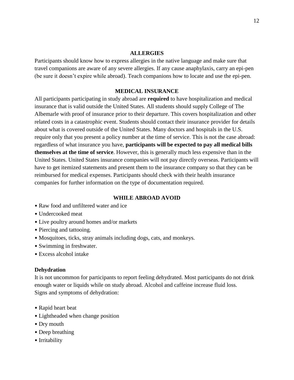#### **ALLERGIES**

Participants should know how to express allergies in the native language and make sure that travel companions are aware of any severe allergies. If any cause anaphylaxis, carry an epi-pen (be sure it doesn't expire while abroad). Teach companions how to locate and use the epi-pen.

#### **MEDICAL INSURANCE**

All participants participating in study abroad are **required** to have hospitalization and medical insurance that is valid outside the United States. All students should supply College of The Albemarle with proof of insurance prior to their departure. This covers hospitalization and other related costs in a catastrophic event. Students should contact their insurance provider for details about what is covered outside of the United States. Many doctors and hospitals in the U.S. require only that you present a policy number at the time of service. This is not the case abroad: regardless of what insurance you have, **participants will be expected to pay all medical bills themselves at the time of service**. However, this is generally much less expensive than in the United States. United States insurance companies will not pay directly overseas. Participants will have to get itemized statements and present them to the insurance company so that they can be reimbursed for medical expenses. Participants should check with their health insurance companies for further information on the type of documentation required.

#### **WHILE ABROAD AVOID**

- Raw food and unfiltered water and ice
- Undercooked meat
- Live poultry around homes and/or markets
- Piercing and tattooing.
- Mosquitoes, ticks, stray animals including dogs, cats, and monkeys.
- Swimming in freshwater.
- Excess alcohol intake

#### **Dehydration**

It is not uncommon for participants to report feeling dehydrated. Most participants do not drink enough water or liquids while on study abroad. Alcohol and caffeine increase fluid loss. Signs and symptoms of dehydration:

- Rapid heart beat
- Lightheaded when change position
- Dry mouth
- Deep breathing
- Irritability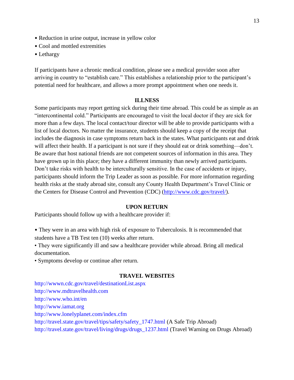- Reduction in urine output, increase in yellow color
- Cool and mottled extremities
- Lethargy

If participants have a chronic medical condition, please see a medical provider soon after arriving in country to "establish care." This establishes a relationship prior to the participant's potential need for healthcare, and allows a more prompt appointment when one needs it.

#### **ILLNESS**

Some participants may report getting sick during their time abroad. This could be as simple as an "intercontinental cold." Participants are encouraged to visit the local doctor if they are sick for more than a few days. The local contact/tour director will be able to provide participants with a list of local doctors. No matter the insurance, students should keep a copy of the receipt that includes the diagnosis in case symptoms return back in the states. What participants eat and drink will affect their health. If a participant is not sure if they should eat or drink something—don't. Be aware that host national friends are not competent sources of information in this area. They have grown up in this place; they have a different immunity than newly arrived participants. Don't take risks with health to be interculturally sensitive. In the case of accidents or injury, participants should inform the Trip Leader as soon as possible. For more information regarding health risks at the study abroad site, consult any County Health Department's Travel Clinic or the Centers for Disease Control and Prevention (CDC) [\(http://www.cdc.gov/travel/\)](http://www.cdc.gov/travel/).

#### **UPON RETURN**

Participants should follow up with a healthcare provider if:

• They were in an area with high risk of exposure to Tuberculosis. It is recommended that students have a TB Test ten (10) weeks after return.

• They were significantly ill and saw a healthcare provider while abroad. Bring all medical documentation.

• Symptoms develop or continue after return.

#### **TRAVEL WEBSITES**

http://wwwn.cdc.gov/travel/destinationList.aspx http://www.mdtravelhealth.com http://www.who.int/en http://www.iamat.org http://www.lonelyplanet.com/index.cfm http://travel.state.gov/travel/tips/safety/safety\_1747.html (A Safe Trip Abroad) http://travel.state.gov/travel/living/drugs/drugs\_1237.html (Travel Warning on Drugs Abroad)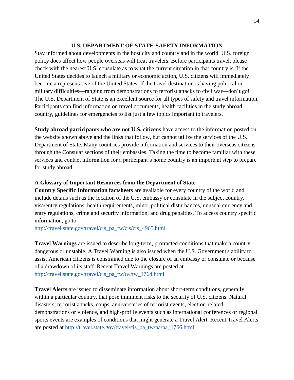#### **U.S. DEPARTMENT OF STATE-SAFETY INFORMATION**

Stay informed about developments in the host city and country and in the world. U.S. foreign policy does affect how people overseas will treat travelers. Before participants travel, please check with the nearest U.S. consulate as to what the current situation in that country is. If the United States decides to launch a military or economic action, U.S. citizens will immediately become a representative of the United States. If the travel destination is having political or military difficulties**—**ranging from demonstrations to terrorist attacks to civil war—don't go! The U.S. Department of State is an excellent source for all types of safety and travel information. Participants can find information on travel documents, health facilities in the study abroad country, guidelines for emergencies to list just a few topics important to travelers.

**Study abroad participants who are not U.S. citizens** have access to the information posted on the website shown above and the links that follow, but cannot utilize the services of the U.S. Department of State. Many countries provide information and services to their overseas citizens through the Consular sections of their embassies. Taking the time to become familiar with these services and contact information for a participant's home country is an important step to prepare for study abroad.

#### **A Glossary of Important Resources from the Department of State**

**Country Specific Information factsheets** are available for every country of the world and include details such as the location of the U.S. embassy or consulate in the subject country, visa/entry regulations, health requirements, minor political disturbances, unusual currency and entry regulations, crime and security information, and drug penalties. To access country specific information, go to:

[http://travel.state.gov/travel/cis\\_pa\\_tw/cis/cis\\_4965.html](http://travel.state.gov/travel/cis_pa_tw/cis/cis_4965.html)

**Travel Warnings** are issued to describe long-term, protracted conditions that make a country dangerous or unstable. A Travel Warning is also issued when the U.S. Government's ability to assist American citizens is constrained due to the closure of an embassy or consulate or because of a drawdown of its staff. Recent Travel Warnings are posted at [http://travel.state.gov/travel/cis\\_pa\\_tw/tw/tw\\_1764.html](http://travel.state.gov/travel/cis_pa_tw/tw/tw_1764.html)

**Travel Alerts** are issued to disseminate information about short-term conditions, generally within a particular country, that pose imminent risks to the security of U.S. citizens. Natural disasters, terrorist attacks, coups, anniversaries of terrorist events, election-related demonstrations or violence, and high-profile events such as international conferences or regional sports events are examples of conditions that might generate a Travel Alert. Recent Travel Alerts are posted at [http://travel.state.gov/travel/cis\\_pa\\_tw/pa/pa\\_1766.html](http://travel.state.gov/travel/cis_pa_tw/pa/pa_1766.html)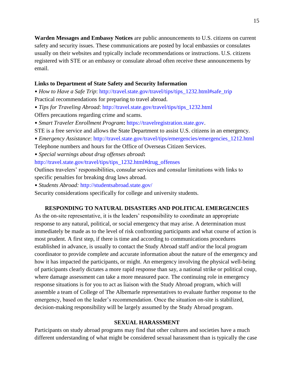**Warden Messages and Embassy Notices** are public announcements to U.S. citizens on current safety and security issues. These communications are posted by local embassies or consulates usually on their websites and typically include recommendations or instructions. U.S. citizens registered with STE or an embassy or consulate abroad often receive these announcements by email.

#### **Links to Department of State Safety and Security Information**

• *How to Have a Safe Trip*: http://travel.state.gov/travel/tips/tips\_1232.html#safe\_trip Practical recommendations for preparing to travel abroad.

- *Tips for Traveling Abroad*: http://travel.state.gov/travel/tips/tips\_1232.html Offers precautions regarding crime and scams.
- *Smart Traveler Enrollment Program***:** https://travelregistration.state.gov.
- STE is a free service and allows the State Department to assist U.S. citizens in an emergency.
- *Emergency Assistance*: http://travel.state.gov/travel/tips/emergencies/emergencies\_1212.html

Telephone numbers and hours for the Office of Overseas Citizen Services.

• *Special warnings about drug offenses abroad***:**

http://travel.state.gov/travel/tips/tips\_1232.html#drug\_offenses

Outlines travelers' responsibilities, consular services and consular limitations with links to specific penalties for breaking drug laws abroad.

• *Students Abroad:* http://studentsabroad.state.gov/

Security considerations specifically for college and university students.

#### **RESPONDING TO NATURAL DISASTERS AND POLITICAL EMERGENCIES**

As the on-site representative, it is the leaders' responsibility to coordinate an appropriate response to any natural, political, or social emergency that may arise. A determination must immediately be made as to the level of risk confronting participants and what course of action is most prudent. A first step, if there is time and according to communications procedures established in advance, is usually to contact the Study Abroad staff and/or the local program coordinator to provide complete and accurate information about the nature of the emergency and how it has impacted the participants, or might. An emergency involving the physical well-being of participants clearly dictates a more rapid response than say, a national strike or political coup, where damage assessment can take a more measured pace. The continuing role in emergency response situations is for you to act as liaison with the Study Abroad program, which will assemble a team of College of The Albemarle representatives to evaluate further response to the emergency, based on the leader's recommendation. Once the situation on-site is stabilized, decision-making responsibility will be largely assumed by the Study Abroad program.

#### **SEXUAL HARASSMENT**

Participants on study abroad programs may find that other cultures and societies have a much different understanding of what might be considered sexual harassment than is typically the case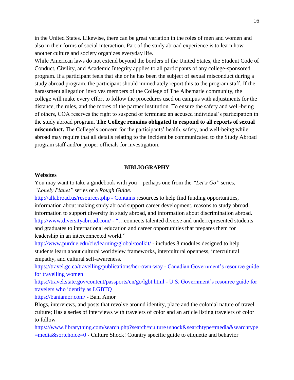in the United States. Likewise, there can be great variation in the roles of men and women and also in their forms of social interaction. Part of the study abroad experience is to learn how another culture and society organizes everyday life.

While American laws do not extend beyond the borders of the United States, the Student Code of Conduct, Civility, and Academic Integrity applies to all participants of any college-sponsored program. If a participant feels that she or he has been the subject of sexual misconduct during a study abroad program, the participant should immediately report this to the program staff. If the harassment allegation involves members of the College of The Albemarle community, the college will make every effort to follow the procedures used on campus with adjustments for the distance, the rules, and the mores of the partner institution. To ensure the safety and well-being of others, COA reserves the right to suspend or terminate an accused individual's participation in the study abroad program. **The College remains obligated to respond to all reports of sexual misconduct.** The College's concern for the participants' health, safety, and well-being while abroad may require that all details relating to the incident be communicated to the Study Abroad program staff and/or proper officials for investigation.

#### **BIBLIOGRAPHY**

#### **Websites**

You may want to take a guidebook with you—perhaps one from the *"Let's Go"* series, *"Lonely Planet"* series or a *Rough Guide.*

http://allabroad.us/resources.php - Contains resources to help find funding opportunities, information about making study abroad support career development, reasons to study abroad, information to support diversity in study abroad, and information about discrimination abroad. http://www.diversityabroad.com/ - "...connects talented diverse and underrepresented students and graduates to international education and career opportunities that prepares them for leadership in an interconnected world."

http://www.purdue.edu/cie/learning/global/toolkit/ - includes 8 modules designed to help students learn about cultural worldview frameworks, intercultural openness, intercultural empathy, and cultural self-awareness.

https://travel.gc.ca/travelling/publications/her-own-way - Canadian Government's resource guide for travelling women

https://travel.state.gov/content/passports/en/go/lgbt.html - U.S. Government's resource guide for travelers who identify as LGBTQ

https://baniamor.com/ - Bani Amor

Blogs, interviews, and posts that revolve around identity, place and the colonial nature of travel culture; Has a series of interviews with travelers of color and an article listing travelers of color to follow

https://www.librarything.com/search.php?search=culture+shock&searchtype=media&searchtype =media&sortchoice=0 - Culture Shock! Country specific guide to etiquette and behavior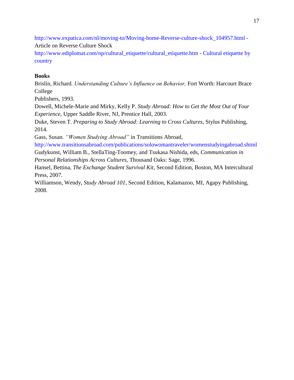http://www.expatica.com/nl/moving-to/Moving-home-Reverse-culture-shock\_104957.html - Article on Reverse Culture Shock

http://www.ediplomat.com/np/cultural\_etiquette/cultural\_etiquette.htm - Cultural etiquette by country

## **Books**

Brislin, Richard. *Understanding Culture's Influence on Behavior,* Fort Worth: Harcourt Brace College

Publishers, 1993.

Dowell, Michele-Marie and Mirky, Kelly P. *Study Abroad: How to Get the Most Out of Your Experience*, Upper Saddle River, NJ, Prentice Hall, 2003.

Duke, Steven T. *Preparing to Study Abroad: Learning to Cross Cultures*, Stylus Publishing, 2014.

Gass, Susan. *"Women Studying Abroad"* in Transitions Abroad,

http://www.transitionsabroad.com/publications/solowomantraveler/womenstudyingabroad.shtml Gudykunst, William B., StellaTing-Toomey, and Tsukasa Nishida, eds, *Communication in*

*Personal Relationships Across Cultures,* Thousand Oaks: Sage, 1996.

Hansel, Bettina, *The Exchange Student Survival Kit,* Second Edition, Boston, MA Intercultural Press, 2007.

Williamson, Wendy, *Study Abroad 101,* Second Edition, Kalamazoo, MI, Agapy Publishing, 2008.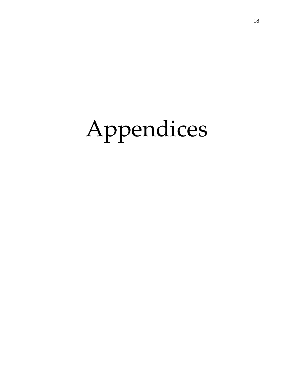# Appendices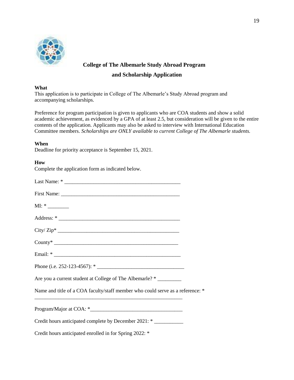

# **College of The Albemarle Study Abroad Program**

#### **and Scholarship Application**

#### **What**

This application is to participate in College of The Albemarle's Study Abroad program and accompanying scholarships.

Preference for program participation is given to applicants who are COA students and show a solid academic achievement, as evidenced by a GPA of at least 2.5, but consideration will be given to the entire contents of the application. Applicants may also be asked to interview with International Education Committee members. *Scholarships are ONLY available to current College of The Albemarle students.*

#### **When**

Deadline for priority acceptance is September 15, 2021.

#### **How**

Complete the application form as indicated below.

| $ML: *$                                                                        |  |
|--------------------------------------------------------------------------------|--|
|                                                                                |  |
|                                                                                |  |
|                                                                                |  |
|                                                                                |  |
|                                                                                |  |
| Are you a current student at College of The Albemarle? *                       |  |
| Name and title of a COA faculty/staff member who could serve as a reference: * |  |
|                                                                                |  |
| Credit hours anticipated complete by December 2021: *                          |  |
| Credit hours anticipated enrolled in for Spring 2022: *                        |  |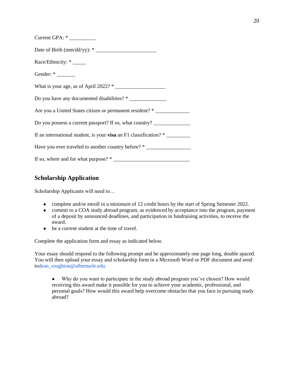| Current GPA: *                                                                    |
|-----------------------------------------------------------------------------------|
| Date of Birth (mm/dd/yy): *                                                       |
| Race/Ethnicity: *                                                                 |
| Gender: *                                                                         |
|                                                                                   |
| Do you have any documented disabilities? *                                        |
| Are you a United States citizen or permanent resident? * ________________________ |
| Do you possess a current passport? If so, what country? _________________________ |
| If an international student, is your visa an F1 classification? *                 |
| Have you ever traveled to another country before? *                               |
|                                                                                   |

# **Scholarship Application**

Scholarship Applicants will need to…

- complete and/or enroll in a minimum of 12 credit hours by the start of Spring Semester 2022.
- commit to a COA study abroad program, as evidenced by acceptance into the program, payment of a deposit by announced deadlines, and participation in fundraising activities, to receive the award.
- be a current student at the time of travel.

Complete the application form and essay as indicated below.

Your essay should respond to the following prompt and be approximately one page long, double spaced. You will then upload your essay and scholarship form in a Microsoft Word or PDF document and send todean\_roughton@albemarle.edu.

• Why do you want to participate in the study abroad program you've chosen? How would receiving this award make it possible for you to achieve your academic, professional, and personal goals? How would this award help overcome obstacles that you face in pursuing study abroad?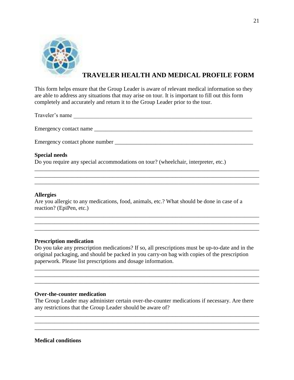

# **TRAVELER HEALTH AND MEDICAL PROFILE FORM**

This form helps ensure that the Group Leader is aware of relevant medical information so they are able to address any situations that may arise on tour. It is important to fill out this form completely and accurately and return it to the Group Leader prior to the tour.

Traveler's name

Emergency contact name

\_\_\_\_\_\_\_\_\_\_\_\_\_\_\_\_\_\_\_\_\_\_\_\_\_\_\_\_\_\_\_\_\_\_\_\_\_\_\_\_\_\_\_\_\_\_\_\_\_\_\_\_\_\_\_\_\_\_\_\_\_\_\_\_\_\_\_\_\_\_\_\_\_\_\_\_\_\_ \_\_\_\_\_\_\_\_\_\_\_\_\_\_\_\_\_\_\_\_\_\_\_\_\_\_\_\_\_\_\_\_\_\_\_\_\_\_\_\_\_\_\_\_\_\_\_\_\_\_\_\_\_\_\_\_\_\_\_\_\_\_\_\_\_\_\_\_\_\_\_\_\_\_\_\_\_\_ \_\_\_\_\_\_\_\_\_\_\_\_\_\_\_\_\_\_\_\_\_\_\_\_\_\_\_\_\_\_\_\_\_\_\_\_\_\_\_\_\_\_\_\_\_\_\_\_\_\_\_\_\_\_\_\_\_\_\_\_\_\_\_\_\_\_\_\_\_\_\_\_\_\_\_\_\_\_

\_\_\_\_\_\_\_\_\_\_\_\_\_\_\_\_\_\_\_\_\_\_\_\_\_\_\_\_\_\_\_\_\_\_\_\_\_\_\_\_\_\_\_\_\_\_\_\_\_\_\_\_\_\_\_\_\_\_\_\_\_\_\_\_\_\_\_\_\_\_\_\_\_\_\_\_\_\_ \_\_\_\_\_\_\_\_\_\_\_\_\_\_\_\_\_\_\_\_\_\_\_\_\_\_\_\_\_\_\_\_\_\_\_\_\_\_\_\_\_\_\_\_\_\_\_\_\_\_\_\_\_\_\_\_\_\_\_\_\_\_\_\_\_\_\_\_\_\_\_\_\_\_\_\_\_\_ \_\_\_\_\_\_\_\_\_\_\_\_\_\_\_\_\_\_\_\_\_\_\_\_\_\_\_\_\_\_\_\_\_\_\_\_\_\_\_\_\_\_\_\_\_\_\_\_\_\_\_\_\_\_\_\_\_\_\_\_\_\_\_\_\_\_\_\_\_\_\_\_\_\_\_\_\_\_

Emergency contact phone number \_\_\_\_\_\_\_\_\_\_\_\_\_\_\_\_\_\_\_\_\_\_\_\_\_\_\_\_\_\_\_\_\_\_\_\_\_\_\_\_\_\_\_\_\_\_\_\_

#### **Special needs**

Do you require any special accommodations on tour? (wheelchair, interpreter, etc.)

#### **Allergies**

Are you allergic to any medications, food, animals, etc.? What should be done in case of a reaction? (EpiPen, etc.)

#### **Prescription medication**

Do you take any prescription medications? If so, all prescriptions must be up-to-date and in the original packaging, and should be packed in you carry-on bag with copies of the prescription paperwork. Please list prescriptions and dosage information.

\_\_\_\_\_\_\_\_\_\_\_\_\_\_\_\_\_\_\_\_\_\_\_\_\_\_\_\_\_\_\_\_\_\_\_\_\_\_\_\_\_\_\_\_\_\_\_\_\_\_\_\_\_\_\_\_\_\_\_\_\_\_\_\_\_\_\_\_\_\_\_\_\_\_\_\_\_\_ \_\_\_\_\_\_\_\_\_\_\_\_\_\_\_\_\_\_\_\_\_\_\_\_\_\_\_\_\_\_\_\_\_\_\_\_\_\_\_\_\_\_\_\_\_\_\_\_\_\_\_\_\_\_\_\_\_\_\_\_\_\_\_\_\_\_\_\_\_\_\_\_\_\_\_\_\_\_ \_\_\_\_\_\_\_\_\_\_\_\_\_\_\_\_\_\_\_\_\_\_\_\_\_\_\_\_\_\_\_\_\_\_\_\_\_\_\_\_\_\_\_\_\_\_\_\_\_\_\_\_\_\_\_\_\_\_\_\_\_\_\_\_\_\_\_\_\_\_\_\_\_\_\_\_\_\_

#### **Over-the-counter medication**

The Group Leader may administer certain over-the-counter medications if necessary. Are there any restrictions that the Group Leader should be aware of?

\_\_\_\_\_\_\_\_\_\_\_\_\_\_\_\_\_\_\_\_\_\_\_\_\_\_\_\_\_\_\_\_\_\_\_\_\_\_\_\_\_\_\_\_\_\_\_\_\_\_\_\_\_\_\_\_\_\_\_\_\_\_\_\_\_\_\_\_\_\_\_\_\_\_\_\_\_\_ \_\_\_\_\_\_\_\_\_\_\_\_\_\_\_\_\_\_\_\_\_\_\_\_\_\_\_\_\_\_\_\_\_\_\_\_\_\_\_\_\_\_\_\_\_\_\_\_\_\_\_\_\_\_\_\_\_\_\_\_\_\_\_\_\_\_\_\_\_\_\_\_\_\_\_\_\_\_ \_\_\_\_\_\_\_\_\_\_\_\_\_\_\_\_\_\_\_\_\_\_\_\_\_\_\_\_\_\_\_\_\_\_\_\_\_\_\_\_\_\_\_\_\_\_\_\_\_\_\_\_\_\_\_\_\_\_\_\_\_\_\_\_\_\_\_\_\_\_\_\_\_\_\_\_\_\_

#### **Medical conditions**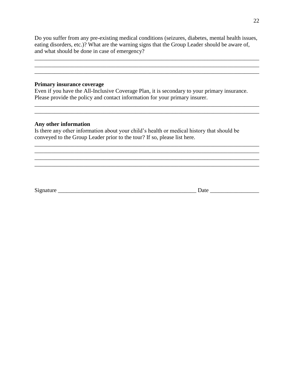Do you suffer from any pre-existing medical conditions (seizures, diabetes, mental health issues, eating disorders, etc.)? What are the warning signs that the Group Leader should be aware of, and what should be done in case of emergency?

\_\_\_\_\_\_\_\_\_\_\_\_\_\_\_\_\_\_\_\_\_\_\_\_\_\_\_\_\_\_\_\_\_\_\_\_\_\_\_\_\_\_\_\_\_\_\_\_\_\_\_\_\_\_\_\_\_\_\_\_\_\_\_\_\_\_\_\_\_\_\_\_\_\_\_\_\_\_

\_\_\_\_\_\_\_\_\_\_\_\_\_\_\_\_\_\_\_\_\_\_\_\_\_\_\_\_\_\_\_\_\_\_\_\_\_\_\_\_\_\_\_\_\_\_\_\_\_\_\_\_\_\_\_\_\_\_\_\_\_\_\_\_\_\_\_\_\_\_\_\_\_\_\_\_\_\_

 $\mathcal{L}_\mathcal{L} = \{ \mathcal{L}_\mathcal{L} = \{ \mathcal{L}_\mathcal{L} = \{ \mathcal{L}_\mathcal{L} = \{ \mathcal{L}_\mathcal{L} = \{ \mathcal{L}_\mathcal{L} = \{ \mathcal{L}_\mathcal{L} = \{ \mathcal{L}_\mathcal{L} = \{ \mathcal{L}_\mathcal{L} = \{ \mathcal{L}_\mathcal{L} = \{ \mathcal{L}_\mathcal{L} = \{ \mathcal{L}_\mathcal{L} = \{ \mathcal{L}_\mathcal{L} = \{ \mathcal{L}_\mathcal{L} = \{ \mathcal{L}_\mathcal{$ \_\_\_\_\_\_\_\_\_\_\_\_\_\_\_\_\_\_\_\_\_\_\_\_\_\_\_\_\_\_\_\_\_\_\_\_\_\_\_\_\_\_\_\_\_\_\_\_\_\_\_\_\_\_\_\_\_\_\_\_\_\_\_\_\_\_\_\_\_\_\_\_\_\_\_\_\_\_

\_\_\_\_\_\_\_\_\_\_\_\_\_\_\_\_\_\_\_\_\_\_\_\_\_\_\_\_\_\_\_\_\_\_\_\_\_\_\_\_\_\_\_\_\_\_\_\_\_\_\_\_\_\_\_\_\_\_\_\_\_\_\_\_\_\_\_\_\_\_\_\_\_\_\_\_\_\_ \_\_\_\_\_\_\_\_\_\_\_\_\_\_\_\_\_\_\_\_\_\_\_\_\_\_\_\_\_\_\_\_\_\_\_\_\_\_\_\_\_\_\_\_\_\_\_\_\_\_\_\_\_\_\_\_\_\_\_\_\_\_\_\_\_\_\_\_\_\_\_\_\_\_\_\_\_\_

\_\_\_\_\_\_\_\_\_\_\_\_\_\_\_\_\_\_\_\_\_\_\_\_\_\_\_\_\_\_\_\_\_\_\_\_\_\_\_\_\_\_\_\_\_\_\_\_\_\_\_\_\_\_\_\_\_\_\_\_\_\_\_\_\_\_\_\_\_\_\_\_\_\_\_\_\_\_

 $\mathcal{L}_\mathcal{L} = \{ \mathcal{L}_\mathcal{L} = \{ \mathcal{L}_\mathcal{L} = \{ \mathcal{L}_\mathcal{L} = \{ \mathcal{L}_\mathcal{L} = \{ \mathcal{L}_\mathcal{L} = \{ \mathcal{L}_\mathcal{L} = \{ \mathcal{L}_\mathcal{L} = \{ \mathcal{L}_\mathcal{L} = \{ \mathcal{L}_\mathcal{L} = \{ \mathcal{L}_\mathcal{L} = \{ \mathcal{L}_\mathcal{L} = \{ \mathcal{L}_\mathcal{L} = \{ \mathcal{L}_\mathcal{L} = \{ \mathcal{L}_\mathcal{$ 

#### **Primary insurance coverage**

Even if you have the All-Inclusive Coverage Plan, it is secondary to your primary insurance. Please provide the policy and contact information for your primary insurer.

#### **Any other information**

Is there any other information about your child's health or medical history that should be conveyed to the Group Leader prior to the tour? If so, please list here.

Signature Date Date  $\Box$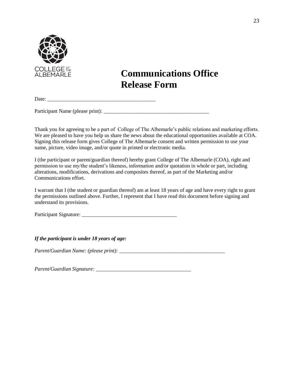

# **Communications Office Release Form**

Date:

Participant Name (please print): \_\_\_\_\_\_\_\_\_\_\_\_\_\_\_\_\_\_\_\_\_\_\_\_\_\_\_\_\_\_\_\_\_\_\_\_\_\_\_\_

Thank you for agreeing to be a part of College of The Albemarle's public relations and marketing efforts. We are pleased to have you help us share the news about the educational opportunities available at COA. Signing this release form gives College of The Albemarle consent and written permission to use your name, picture, video image, and/or quote in printed or electronic media.

I (the participant or parent/guardian thereof) hereby grant College of The Albemarle (COA), right and permission to use my/the student's likeness, information and/or quotation in whole or part, including alterations, modifications, derivations and composites thereof, as part of the Marketing and/or Communications effort.

I warrant that I (the student or guardian thereof) am at least 18 years of age and have every right to grant the permissions outlined above. Further, I represent that I have read this document before signing and understand its provisions.

Participant Signature: \_\_\_\_\_\_\_\_\_\_\_\_\_\_\_\_\_\_\_\_\_\_\_\_\_\_\_\_\_\_\_\_\_\_\_\_

*If the participant is under 18 years of age:*

*Parent/Guardian Name: (please print): \_\_\_\_\_\_\_\_\_\_\_\_\_\_\_\_\_\_\_\_\_\_\_\_\_\_\_\_\_\_\_\_\_\_\_\_\_\_\_\_*

*Parent/Guardian Signature: \_\_\_\_\_\_\_\_\_\_\_\_\_\_\_\_\_\_\_\_\_\_\_\_\_\_\_\_\_\_\_\_\_\_\_\_*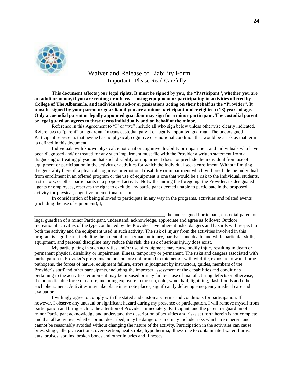

## Waiver and Release of Liability Form Important– Please Read Carefully

**This document affects your legal rights. It must be signed by you, the "Participant", whether you are an adult or minor, if you are renting or otherwise using equipment or participating in activities offered by College of The Albemarle, and individuals and/or organizations acting on their behalf as the "Provider". It must be signed by your parent or guardian if you are a minor participant under eighteen (18) years of age. Only a custodial parent or legally appointed guardian may sign for a minor participant. The custodial parent or legal guardian agrees to these terms individually and on behalf of the minor.** 

Reference in this Agreement to "I" or "we" include all who sign below unless otherwise clearly indicated. References to "parent" or "guardian" means custodial parent or legally appointed guardian. The undersigned Participant represents that he/she has no physical, cognitive or emotional condition that would be a risk as that term is defined in this document.

Individuals with known physical, emotional or cognitive disability or impairment and individuals who have been diagnosed and/ or treated for any such impairment must file with the Provider a written statement from a diagnosing or treating physician that such disability or impairment does not preclude the individual from use of equipment or participation in the activity or activities for which the individual seeks enrollment. Without limiting the generality thereof, a physical, cognitive or emotional disability or impairment which will preclude the individual from enrollment in an offered program or the use of equipment is one that would be a risk to the individual, students, instructors, or other participants in a proposed activity. Notwithstanding the foregoing, the Provider, its designated agents or employees, reserves the right to exclude any participant deemed unable to participate in the proposed activity for physical, cognitive or emotional reasons.

In consideration of being allowed to participate in any way in the programs, activities and related events (including the use of equipment), I,

\_\_\_\_\_\_\_\_\_\_\_\_\_\_\_\_\_\_\_\_\_\_\_\_\_\_\_\_\_\_\_\_\_\_\_\_\_\_\_\_\_\_\_\_\_\_\_\_\_\_\_\_\_\_, the undersigned Participant, custodial parent or legal guardian of a minor Participant, understand, acknowledge, appreciate and agree as follows: Outdoor recreational activities of the type conducted by the Provider have inherent risks, dangers and hazards with respect to both the activity and the equipment used in such activity. The risk of injury from the activities involved in this program is significant, including the potential for permanent injury, paralysis and death, and while particular skills, equipment, and personal discipline may reduce this risk, the risk of serious injury does exist.

My participating in such activities and/or use of equipment may cause bodily injury resulting in death or permanent physical disability or impairment, illness, temporary or permanent. The risks and dangers associated with participation in Provider's programs include but are not limited to interaction with wildlife, exposure to waterborne pathogens, the forces of nature, equipment failure, errors in judgment by instructors, guides, members of the Provider's staff and other participants, including the improper assessment of the capabilities and conditions pertaining to the activities; equipment may be misused or may fail because of manufacturing defects or otherwise; the unpredictable force of nature, including exposure to the sun, cold, wind, hail, lightning, flash floods and other such phenomena. Activities may take place in remote places, significantly delaying emergency medical care and evaluation.

I willingly agree to comply with the stated and customary terms and conditions for participation. If, however, I observe any unusual or significant hazard during my presence or participation, I will remove myself from participation and bring such to the attention of Provider immediately. Participant, and the parent or guardian of a minor Participant acknowledge and understand the description of activities and risks set forth herein is not complete and that all activities, whether or not described, may be dangerous and may include risks which are inherent and cannot be reasonably avoided without changing the nature of the activity. Participation in the activities can cause bites, stings, allergic reactions, overexertion, heat stroke, hypothermia, illness due to contaminated water, burns, cuts, bruises, sprains, broken bones and other injuries and illnesses.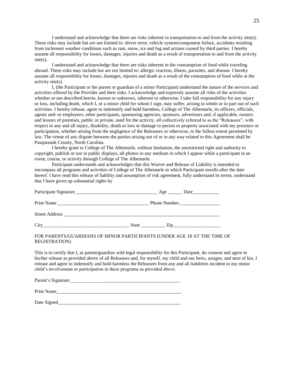I understand and acknowledge that there are risks inherent in transportation to and from the activity site(s). These risks may include but are not limited to: driver error, vehicle system/component failure, accidents resulting from inclement weather conditions such as rain, snow, ice and fog and actions caused by third parties. I hereby assume all responsibility for losses, damages, injuries and death as a result of transportation to and from the activity site(s).

I understand and acknowledge that there are risks inherent in the consumption of food while traveling abroad. These risks may include but are not limited to: allergic reaction, illness, parasites, and disease. I hereby assume all responsibility for losses, damages, injuries and death as a result of the consumption of food while at the activity site(s).

I, (the Participant or the parent or guardian of a minor Participant) understand the nature of the services and activities offered by the Provider and their risks. I acknowledge and expressly assume all risks of the activities whether or not described herein, known or unknown, inherent or otherwise. I take full responsibility for any injury or loss, including death, which I, or a minor child for whom I sign, may suffer, arising in whole or in part out of such activities. I hereby release, agree to indemnify and hold harmless, College of The Albemarle, its officers, officials, agents and/ or employees, other participants, sponsoring agencies, sponsors, advertisers and, if applicable, owners and lessors of premises, public or private, used for the activity, all collectively referred to as the "Releasees", with respect to any and all injury, disability, death or loss or damage to person or property associated with my presence or participation, whether arising from the negligence of the Releasees or otherwise, to the fullest extent permitted by law. The venue of any dispute between the parties arising out of or in any way related to this Agreement shall be Pasquotank County, North Carolina.

I hereby grant to College of The Albemarle, without limitation, the unrestricted right and authority to copyright, publish or use in public displays, all photos in any medium in which I appear while a participant in an event, course, or activity through College of The Albemarle.

Participant understands and acknowledges that this Waiver and Release of Liability is intended to encompass all programs and activities of College of The Albemarle in which Participant enrolls after the date hereof. I have read this release of liability and assumption of risk agreement, fully understand its terms, understand that I have given up substantial rights by

| Participant Signature | Date<br>$Age$ —<br>the control of the control of the |
|-----------------------|------------------------------------------------------|
| Print Name            | Phone Number                                         |
| <b>Street Address</b> |                                                      |
| City                  | State<br>$\mathbb{Z}$ ip                             |

#### FOR PARENTS/GUARDIANS OF MINOR PARTICIPANTS (UNDER AGE 18 AT THE TIME OF REGISTRATION)

This is to certify that I, as parent/guardian with legal responsibility for this Participant, do consent and agree to his/her release as provided above of all Releasees and, for myself, my child and our heirs, assigns, and next of kin, I release and agree to indemnify and hold harmless the Releasees from any and all liabilities incident to my minor child's involvement or participation in these programs as provided above.

Parent's Signature

Print Name

Date Signed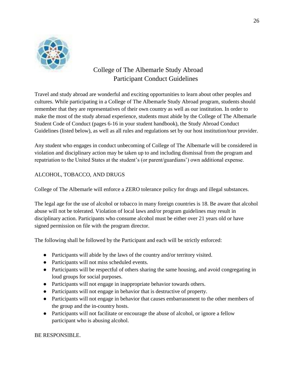

# College of The Albemarle Study Abroad Participant Conduct Guidelines

Travel and study abroad are wonderful and exciting opportunities to learn about other peoples and cultures. While participating in a College of The Albemarle Study Abroad program, students should remember that they are representatives of their own country as well as our institution. In order to make the most of the study abroad experience, students must abide by the College of The Albemarle Student Code of Conduct (pages 6-16 in your student handbook), the Study Abroad Conduct Guidelines (listed below), as well as all rules and regulations set by our host institution/tour provider.

Any student who engages in conduct unbecoming of College of The Albemarle will be considered in violation and disciplinary action may be taken up to and including dismissal from the program and repatriation to the United States at the student's (or parent/guardians') own additional expense.

# ALCOHOL, TOBACCO, AND DRUGS

College of The Albemarle will enforce a ZERO tolerance policy for drugs and illegal substances.

The legal age for the use of alcohol or tobacco in many foreign countries is 18. Be aware that alcohol abuse will not be tolerated. Violation of local laws and/or program guidelines may result in disciplinary action. Participants who consume alcohol must be either over 21 years old or have signed permission on file with the program director.

The following shall be followed by the Participant and each will be strictly enforced:

- Participants will abide by the laws of the country and/or territory visited.
- Participants will not miss scheduled events.
- Participants will be respectful of others sharing the same housing, and avoid congregating in loud groups for social purposes.
- Participants will not engage in inappropriate behavior towards others.
- Participants will not engage in behavior that is destructive of property.
- Participants will not engage in behavior that causes embarrassment to the other members of the group and the in-country hosts.
- Participants will not facilitate or encourage the abuse of alcohol, or ignore a fellow participant who is abusing alcohol.

BE RESPONSIBLE.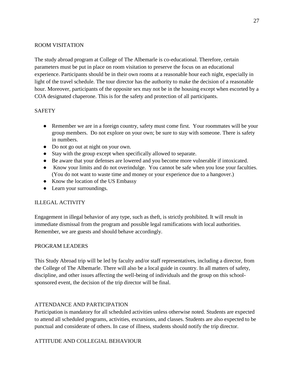#### ROOM VISITATION

The study abroad program at College of The Albemarle is co-educational. Therefore, certain parameters must be put in place on room visitation to preserve the focus on an educational experience. Participants should be in their own rooms at a reasonable hour each night, especially in light of the travel schedule. The tour director has the authority to make the decision of a reasonable hour. Moreover, participants of the opposite sex may not be in the housing except when escorted by a COA designated chaperone. This is for the safety and protection of all participants.

#### **SAFETY**

- Remember we are in a foreign country, safety must come first. Your roommates will be your group members. Do not explore on your own; be sure to stay with someone. There is safety in numbers.
- Do not go out at night on your own.
- Stay with the group except when specifically allowed to separate.
- Be aware that your defenses are lowered and you become more vulnerable if intoxicated.
- Know your limits and do not overindulge. You cannot be safe when you lose your faculties. (You do not want to waste time and money or your experience due to a hangover.)
- Know the location of the US Embassy
- Learn your surroundings.

#### ILLEGAL ACTIVITY

Engagement in illegal behavior of any type, such as theft, is strictly prohibited. It will result in immediate dismissal from the program and possible legal ramifications with local authorities. Remember, we are guests and should behave accordingly.

#### PROGRAM LEADERS

This Study Abroad trip will be led by faculty and/or staff representatives, including a director, from the College of The Albemarle. There will also be a local guide in country. In all matters of safety, discipline, and other issues affecting the well-being of individuals and the group on this schoolsponsored event, the decision of the trip director will be final.

#### ATTENDANCE AND PARTICIPATION

Participation is mandatory for all scheduled activities unless otherwise noted. Students are expected to attend all scheduled programs, activities, excursions, and classes. Students are also expected to be punctual and considerate of others. In case of illness, students should notify the trip director.

#### ATTITUDE AND COLLEGIAL BEHAVIOUR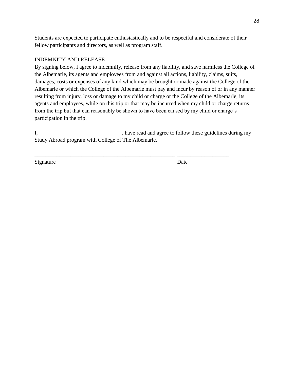Students are expected to participate enthusiastically and to be respectful and considerate of their fellow participants and directors, as well as program staff.

#### INDEMNITY AND RELEASE

By signing below, I agree to indemnify, release from any liability, and save harmless the College of the Albemarle, its agents and employees from and against all actions, liability, claims, suits, damages, costs or expenses of any kind which may be brought or made against the College of the Albemarle or which the College of the Albemarle must pay and incur by reason of or in any manner resulting from injury, loss or damage to my child or charge or the College of the Albemarle, its agents and employees, while on this trip or that may be incurred when my child or charge returns from the trip but that can reasonably be shown to have been caused by my child or charge's participation in the trip.

I, have read and agree to follow these guidelines during my Study Abroad program with College of The Albemarle.

\_\_\_\_\_\_\_\_\_\_\_\_\_\_\_\_\_\_\_\_\_\_\_\_\_\_\_\_\_\_\_\_\_\_\_\_\_\_\_\_\_\_\_\_\_\_\_\_\_\_\_ \_\_\_\_\_\_\_\_\_\_\_\_\_\_\_\_\_\_\_

Signature Date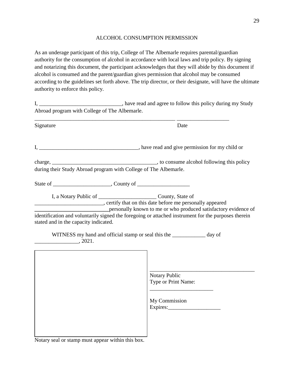#### ALCOHOL CONSUMPTION PERMISSION

As an underage participant of this trip, College of The Albemarle requires parental/guardian authority for the consumption of alcohol in accordance with local laws and trip policy. By signing and notarizing this document, the participant acknowledges that they will abide by this document if alcohol is consumed and the parent/guardian gives permission that alcohol may be consumed according to the guidelines set forth above. The trip director, or their designate, will have the ultimate authority to enforce this policy.

I, \_\_\_\_\_\_\_\_\_\_\_\_\_\_\_\_\_\_\_\_\_\_\_\_\_\_\_, have read and agree to follow this policy during my Study Abroad program with College of The Albemarle. \_\_\_\_\_\_\_\_\_\_\_\_\_\_\_\_\_\_\_\_\_\_\_\_\_\_\_\_\_\_\_\_\_\_\_\_\_\_\_\_\_\_\_\_\_\_\_\_\_\_\_ \_\_\_\_\_\_\_\_\_\_\_\_\_\_\_\_\_\_\_ Signature Date I, \_\_\_\_\_\_\_\_\_\_\_\_\_\_\_\_\_\_\_\_\_\_\_\_\_\_\_\_, have read and give permission for my child or charge, \_\_\_\_\_\_\_\_\_\_\_\_\_\_\_\_\_\_\_\_\_\_\_\_\_\_\_\_\_\_\_\_\_\_\_\_\_\_, to consume alcohol following this policy during their Study Abroad program with College of The Albemarle. State of \_\_\_\_\_\_\_\_\_\_\_\_\_\_\_\_\_\_\_\_\_, County of \_\_\_\_\_\_\_\_\_\_\_\_\_\_\_\_\_\_\_ I, a Notary Public of County, State of \_\_\_\_\_\_\_\_\_\_\_\_\_\_\_\_\_\_\_\_\_\_\_\_\_, certify that on this date before me personally appeared **\_\_\_\_\_\_\_\_\_\_\_\_\_\_\_\_\_\_\_\_\_\_\_\_\_\_\_**personally known to me or who produced satisfactory evidence of identification and voluntarily signed the foregoing or attached instrument for the purposes therein stated and in the capacity indicated. WITNESS my hand and official stamp or seal this the \_\_\_\_\_\_\_\_\_\_\_ day of \_\_\_\_\_\_\_\_\_\_\_\_\_\_\_\_, 2021. \_\_\_\_\_\_\_\_\_\_\_\_\_\_\_\_\_\_\_\_\_\_\_\_\_\_\_\_\_\_\_\_\_\_\_\_\_\_ Notary Public Type or Print Name: \_\_\_\_\_\_\_\_\_\_\_\_\_\_\_\_\_\_\_\_\_\_\_ My Commission Expires:\_\_\_\_\_\_\_\_\_\_\_\_\_\_\_\_\_\_\_

Notary seal or stamp must appear within this box.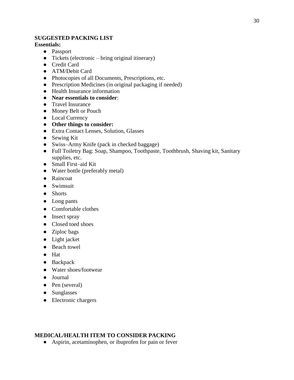#### **SUGGESTED PACKING LIST**

#### **Essentials:**

- Passport
- Tickets (electronic bring original itinerary)
- Credit Card
- ATM/Debit Card
- Photocopies of all Documents, Prescriptions, etc.
- Prescription Medicines (in original packaging if needed)
- Health Insurance information
- **Near essentials to consider**:
- Travel Insurance
- Money Belt or Pouch
- Local Currency
- **Other things to consider:**
- Extra Contact Lenses, Solution, Glasses
- Sewing Kit
- Swiss–Army Knife (pack in checked baggage)
- Full Toiletry Bag: Soap, Shampoo, Toothpaste, Toothbrush, Shaving kit, Sanitary supplies, etc.
- Small First–aid Kit
- Water bottle (preferably metal)
- Raincoat
- Swimsuit
- Shorts
- Long pants
- Comfortable clothes
- Insect spray
- Closed toed shoes
- Ziploc bags
- Light jacket
- Beach towel
- Hat
- Backpack
- Water shoes/footwear
- Journal
- Pen (several)
- Sunglasses
- Electronic chargers

# **MEDICAL/HEALTH ITEM TO CONSIDER PACKING**

• Aspirin, acetaminophen, or ibuprofen for pain or fever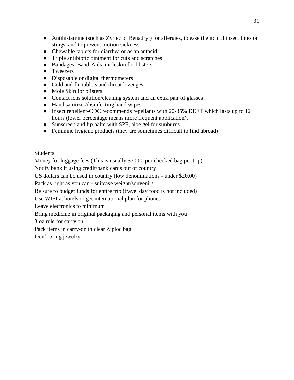- Antihistamine (such as Zyrtec or Benadryl) for allergies, to ease the itch of insect bites or stings, and to prevent motion sickness
- Chewable tablets for diarrhea or as an antacid.
- Triple antibiotic ointment for cuts and scratches
- Bandages, Band-Aids, moleskin for blisters
- Tweezers
- Disposable or digital thermometers
- Cold and flu tablets and throat lozenges
- Mole Skin for blisters
- Contact lens solution/cleaning system and an extra pair of glasses
- Hand sanitizer/disinfecting hand wipes
- Insect repellent-CDC recommends repellants with 20-35% DEET which lasts up to 12 hours (lower percentage means more frequent application).
- Sunscreen and lip balm with SPF, aloe gel for sunburns
- Feminine hygiene products (they are sometimes difficult to find abroad)

#### Students

Money for luggage fees (This is usually \$30.00 per checked bag per trip)

Notify bank if using credit/bank cards out of country

US dollars can be used in country (low denominations - under \$20.00)

Pack as light as you can - suitcase weight/souvenirs

Be sure to budget funds for entire trip (travel day food is not included)

Use WIFI at hotels or get international plan for phones

Leave electronics to minimum

Bring medicine in original packaging and personal items with you

3 oz rule for carry on.

Pack items in carry-on in clear Ziploc bag

Don't bring jewelry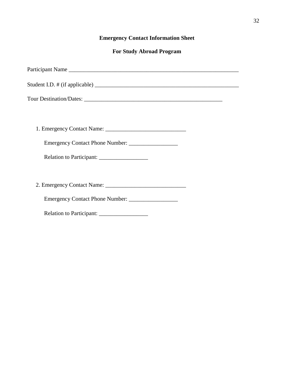# **Emergency Contact Information Sheet**

# **For Study Abroad Program**